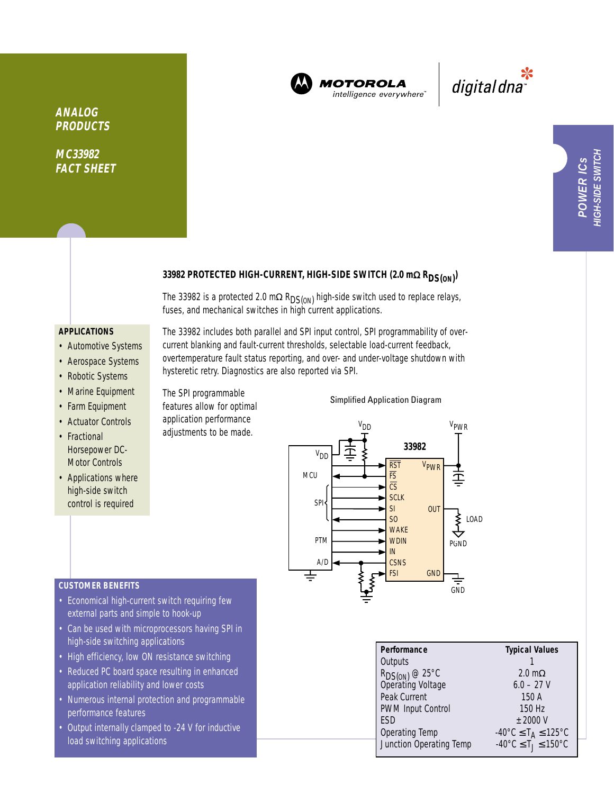

**MOTOROLA** intelligence everywhere<sup>®</sup>

\*<br>"digital dna

# 33982 PROTECTED HIGH-CURRENT, HIGH-SIDE SWITCH (2.0 mΩ R<sub>DS(ON)</sub>)

The 33982 is a protected 2.0 m $\Omega$  R<sub>DS(ON)</sub> high-side switch used to replace relays, fuses, and mechanical switches in high current applications.

# **APPLICATIONS**

**ANALOG PRODUCTS**

**MC33982 FACT SHEET**

- Automotive Systems
- Aerospace Systems
- Robotic Systems
- Marine Equipment
- Farm Equipment
- Actuator Controls
- Fractional Horsepower DC-Motor Controls
- Applications where high-side switch control is required

The 33982 includes both parallel and SPI input control, SPI programmability of overcurrent blanking and fault-current thresholds, selectable load-current feedback, overtemperature fault status reporting, and over- and under-voltage shutdown with hysteretic retry. Diagnostics are also reported via SPI.

The SPI programmable features allow for optimal application performance adjustments to be made.

### Simplified Application Diagram



| Performance                              | <b>Typical Values</b>                              |
|------------------------------------------|----------------------------------------------------|
| Outputs                                  |                                                    |
| $R_{DS(ON)} @ 25°C$<br>Operating Voltage | $2.0 \text{ m}\Omega$                              |
|                                          | $6.0 - 27$ V                                       |
| Peak Current                             | 150A                                               |
| <b>PWM Input Control</b>                 | 150 Hz                                             |
| <b>FSD</b>                               | $+2000V$                                           |
| <b>Operating Temp</b>                    | $-40^{\circ}$ C $\leq$ T <sub>A</sub> $\leq$ 125°C |
| Junction Operating Temp                  | $-40^{\circ}$ C $\leq$ T $\leq$ 150°C              |

### **CUSTOMER BENEFITS**

- Economical high-current switch requiring few external parts and simple to hook-up
- Can be used with microprocessors having SPI in high-side switching applications
- High efficiency, low ON resistance switching
- Reduced PC board space resulting in enhanced application reliability and lower costs
- Numerous internal protection and programmable performance features
- Output internally clamped to -24 V for inductive load switching applications